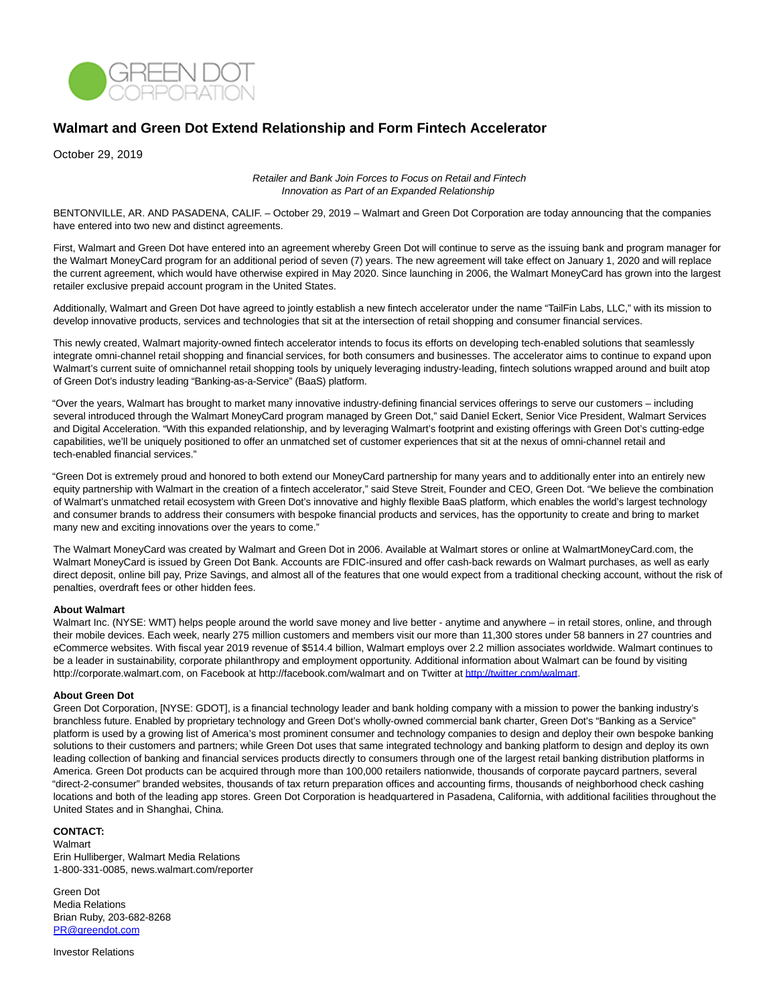

## **Walmart and Green Dot Extend Relationship and Form Fintech Accelerator**

October 29, 2019

Retailer and Bank Join Forces to Focus on Retail and Fintech Innovation as Part of an Expanded Relationship

BENTONVILLE, AR. AND PASADENA, CALIF. – October 29, 2019 – Walmart and Green Dot Corporation are today announcing that the companies have entered into two new and distinct agreements.

First, Walmart and Green Dot have entered into an agreement whereby Green Dot will continue to serve as the issuing bank and program manager for the Walmart MoneyCard program for an additional period of seven (7) years. The new agreement will take effect on January 1, 2020 and will replace the current agreement, which would have otherwise expired in May 2020. Since launching in 2006, the Walmart MoneyCard has grown into the largest retailer exclusive prepaid account program in the United States.

Additionally, Walmart and Green Dot have agreed to jointly establish a new fintech accelerator under the name "TailFin Labs, LLC," with its mission to develop innovative products, services and technologies that sit at the intersection of retail shopping and consumer financial services.

This newly created, Walmart majority-owned fintech accelerator intends to focus its efforts on developing tech-enabled solutions that seamlessly integrate omni-channel retail shopping and financial services, for both consumers and businesses. The accelerator aims to continue to expand upon Walmart's current suite of omnichannel retail shopping tools by uniquely leveraging industry-leading, fintech solutions wrapped around and built atop of Green Dot's industry leading "Banking-as-a-Service" (BaaS) platform.

"Over the years, Walmart has brought to market many innovative industry-defining financial services offerings to serve our customers – including several introduced through the Walmart MoneyCard program managed by Green Dot," said Daniel Eckert, Senior Vice President, Walmart Services and Digital Acceleration. "With this expanded relationship, and by leveraging Walmart's footprint and existing offerings with Green Dot's cutting-edge capabilities, we'll be uniquely positioned to offer an unmatched set of customer experiences that sit at the nexus of omni-channel retail and tech-enabled financial services."

"Green Dot is extremely proud and honored to both extend our MoneyCard partnership for many years and to additionally enter into an entirely new equity partnership with Walmart in the creation of a fintech accelerator," said Steve Streit, Founder and CEO, Green Dot. "We believe the combination of Walmart's unmatched retail ecosystem with Green Dot's innovative and highly flexible BaaS platform, which enables the world's largest technology and consumer brands to address their consumers with bespoke financial products and services, has the opportunity to create and bring to market many new and exciting innovations over the years to come."

The Walmart MoneyCard was created by Walmart and Green Dot in 2006. Available at Walmart stores or online at WalmartMoneyCard.com, the Walmart MoneyCard is issued by Green Dot Bank. Accounts are FDIC-insured and offer cash-back rewards on Walmart purchases, as well as early direct deposit, online bill pay, Prize Savings, and almost all of the features that one would expect from a traditional checking account, without the risk of penalties, overdraft fees or other hidden fees.

## **About Walmart**

Walmart Inc. (NYSE: WMT) helps people around the world save money and live better - anytime and anywhere – in retail stores, online, and through their mobile devices. Each week, nearly 275 million customers and members visit our more than 11,300 stores under 58 banners in 27 countries and eCommerce websites. With fiscal year 2019 revenue of \$514.4 billion, Walmart employs over 2.2 million associates worldwide. Walmart continues to be a leader in sustainability, corporate philanthropy and employment opportunity. Additional information about Walmart can be found by visiting http://corporate.walmart.com, on Facebook at http://facebook.com/walmart and on Twitter at [http://twitter.com/walmart.](http://twitter.com/walmart)

## **About Green Dot**

Green Dot Corporation, [NYSE: GDOT], is a financial technology leader and bank holding company with a mission to power the banking industry's branchless future. Enabled by proprietary technology and Green Dot's wholly-owned commercial bank charter, Green Dot's "Banking as a Service" platform is used by a growing list of America's most prominent consumer and technology companies to design and deploy their own bespoke banking solutions to their customers and partners; while Green Dot uses that same integrated technology and banking platform to design and deploy its own leading collection of banking and financial services products directly to consumers through one of the largest retail banking distribution platforms in America. Green Dot products can be acquired through more than 100,000 retailers nationwide, thousands of corporate paycard partners, several "direct-2-consumer" branded websites, thousands of tax return preparation offices and accounting firms, thousands of neighborhood check cashing locations and both of the leading app stores. Green Dot Corporation is headquartered in Pasadena, California, with additional facilities throughout the United States and in Shanghai, China.

## **CONTACT:**

Walmart Erin Hulliberger, Walmart Media Relations 1-800-331-0085, news.walmart.com/reporter

Green Dot Media Relations Brian Ruby, 203-682-8268 [PR@greendot.com](mailto:PR@greendot.com)

Investor Relations